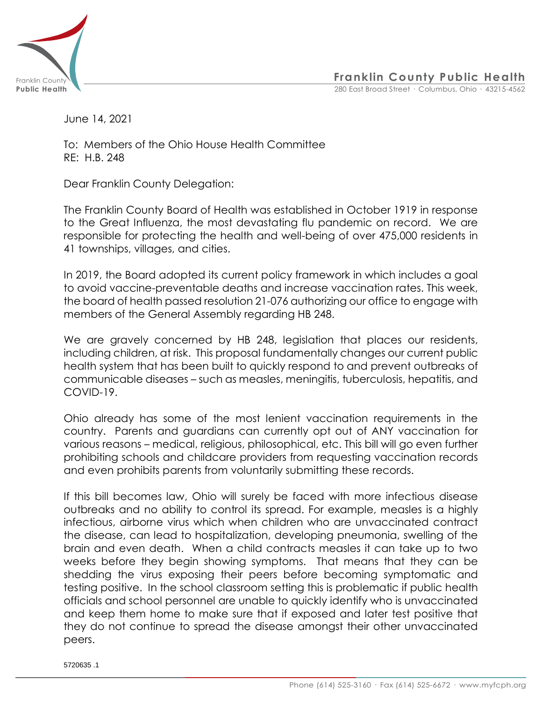

**Franklin County Public Health**

**Public Health** 280 East Broad Street · Columbus, Ohio · 43215-4562

June 14, 2021

To: Members of the Ohio House Health Committee RE: H.B. 248

Dear Franklin County Delegation:

The Franklin County Board of Health was established in October 1919 in response to the Great Influenza, the most devastating flu pandemic on record. We are responsible for protecting the health and well-being of over 475,000 residents in 41 townships, villages, and cities.

In 2019, the Board adopted its current policy framework in which includes a goal to avoid vaccine-preventable deaths and increase vaccination rates. This week, the board of health passed resolution 21-076 authorizing our office to engage with members of the General Assembly regarding HB 248.

We are gravely concerned by HB 248, legislation that places our residents, including children, at risk. This proposal fundamentally changes our current public health system that has been built to quickly respond to and prevent outbreaks of communicable diseases – such as measles, meningitis, tuberculosis, hepatitis, and COVID-19.

Ohio already has some of the most lenient vaccination requirements in the country. Parents and guardians can currently opt out of ANY vaccination for various reasons – medical, religious, philosophical, etc. This bill will go even further prohibiting schools and childcare providers from requesting vaccination records and even prohibits parents from voluntarily submitting these records.

If this bill becomes law, Ohio will surely be faced with more infectious disease outbreaks and no ability to control its spread. For example, measles is a highly infectious, airborne virus which when children who are unvaccinated contract the disease, can lead to hospitalization, developing pneumonia, swelling of the brain and even death. When a child contracts measles it can take up to two weeks before they begin showing symptoms. That means that they can be shedding the virus exposing their peers before becoming symptomatic and testing positive. In the school classroom setting this is problematic if public health officials and school personnel are unable to quickly identify who is unvaccinated and keep them home to make sure that if exposed and later test positive that they do not continue to spread the disease amongst their other unvaccinated peers.

5720635 .1